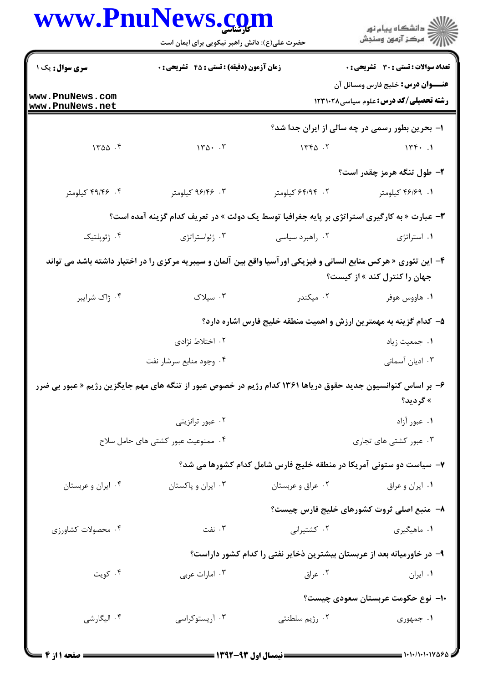|                                                                                                              | <b>www.PnuNews.co</b><br>حضرت علی(ع): دانش راهبر نیکویی برای ایمان است                                           |                                                                        | ڪ دانشڪاه پيا <sub>م</sub> نور<br>∕7 مرڪز آزمون وسنڊش                                    |  |
|--------------------------------------------------------------------------------------------------------------|------------------------------------------------------------------------------------------------------------------|------------------------------------------------------------------------|------------------------------------------------------------------------------------------|--|
| <b>سری سوال :</b> یک ۱                                                                                       | <b>زمان آزمون (دقیقه) : تستی : 45 گشریحی : 0</b>                                                                 |                                                                        | تعداد سوالات : تستى : 30 - تشريحي : 0                                                    |  |
| www.PnuNews.com<br>www.PnuNews.net                                                                           |                                                                                                                  |                                                                        | <b>عنـــوان درس:</b> خلیج فارس ومسائل آن<br><b>رشته تحصیلی/کد درس:</b> علوم سیاسی1۲۳۱۰۲۸ |  |
|                                                                                                              |                                                                                                                  |                                                                        | ۱- بحرین بطور رسمی در چه سالی از ایران جدا شد؟                                           |  |
| 1400.5                                                                                                       | $\gamma \gamma \Delta \cdot \gamma$                                                                              | 156.7                                                                  | $156 - 1$                                                                                |  |
|                                                                                                              |                                                                                                                  |                                                                        | ۲- طول تنگه هرمز چقدر است؟                                                               |  |
| ۴. ۴۹/۴۶ کیلومتر                                                                                             | ۰۳. ۹۶/۴۶ کیلومتر                                                                                                | ۲. ۶۴/۹۴ کیلومتر                                                       | ۰۱. ۴۶/۶۹ کیلومتر                                                                        |  |
|                                                                                                              | ۳- عبارت « به کارگیری استراتژی بر پایه جغرافیا توسط یک دولت » در تعریف کدام گزینه آمده است؟                      |                                                                        |                                                                                          |  |
| ۰۴ ژئوپلتیک                                                                                                  | ۰۳ ژئواستراتژی                                                                                                   | ۰۲ راهبرد سیاسی                                                        | ٠١. استراتژى                                                                             |  |
|                                                                                                              | ۴– این تئوری « هرکس منابع انسانی و فیزیکی اورآسیا واقع بین آلمان و سیبریه مرکزی را در اختیار داشته باشد می تواند |                                                                        | جهان را کنترل کند » از کیست؟                                                             |  |
| ۰۴ ژاک شرایبر                                                                                                | ۰۳ سیلاک                                                                                                         | ۰۲ میکندر                                                              | ۰۱ هاووس هوفر                                                                            |  |
|                                                                                                              |                                                                                                                  | ۵– کدام گزینه به مهمترین ارزش و اهمیت منطقه خلیج فارس اشاره دارد؟      |                                                                                          |  |
|                                                                                                              | ۰۲ اختلاط نژادی                                                                                                  |                                                                        | ۰۱ جمعیت زیاد                                                                            |  |
|                                                                                                              | ۰۴ وجود منابع سرشار نفت                                                                                          |                                                                        | ۰۳ ادیان آسمانی                                                                          |  |
| ۶- بر اساس کنوانسیون جدید حقوق دریاها ۱۳۶۱ کدام رژیم در خصوص عبور از تنگه های مهم جایگزین رژیم « عبور بی ضرر |                                                                                                                  |                                                                        | » گرديد؟                                                                                 |  |
|                                                                                                              | ۰۲ عبور ترانزیتی                                                                                                 |                                                                        | ٠١. عبور آزاد                                                                            |  |
|                                                                                                              | ۰۴ ممنوعیت عبور کشتی های حامل سلاح                                                                               |                                                                        | ۰۳ عبور کشتی های تجاری                                                                   |  |
|                                                                                                              |                                                                                                                  | ۷- سیاست دو ستونی آمریکا در منطقه خلیج فارس شامل کدام کشورها می شد؟    |                                                                                          |  |
| ۰۴ ایران و عربستان                                                                                           | ۰۳ ایران و پاکستان                                                                                               | ۰۲ عراق و عربستان                                                      | ۰۱ ایران و عراق                                                                          |  |
|                                                                                                              |                                                                                                                  |                                                                        | ٨− منبع اصلی ثروت کشورهای خلیج فارس چیست؟                                                |  |
| ۰۴ محصولات کشاورزی                                                                                           | ۰۳ نفت                                                                                                           | ۰۲ کشتیرانی                                                            | ۰۱ ماهیگیری                                                                              |  |
|                                                                                                              |                                                                                                                  | ۹– در خاورمیانه بعد از عربستان بیشترین ذخایر نفتی را کدام کشور داراست؟ |                                                                                          |  |
| ۰۴ کویت                                                                                                      | ۰۳ امارات عربی                                                                                                   | ۰۲ عراق                                                                | ٠١ ايران                                                                                 |  |
|                                                                                                              |                                                                                                                  |                                                                        | ۱۰– نوع حکومت عربستان سعودی چیست؟                                                        |  |
| ۰۴ الیگارشی                                                                                                  | ۰۳ آریستوکراسی                                                                                                   | ۰۲ رژیم سلطنتی                                                         | ۱. جمهوری                                                                                |  |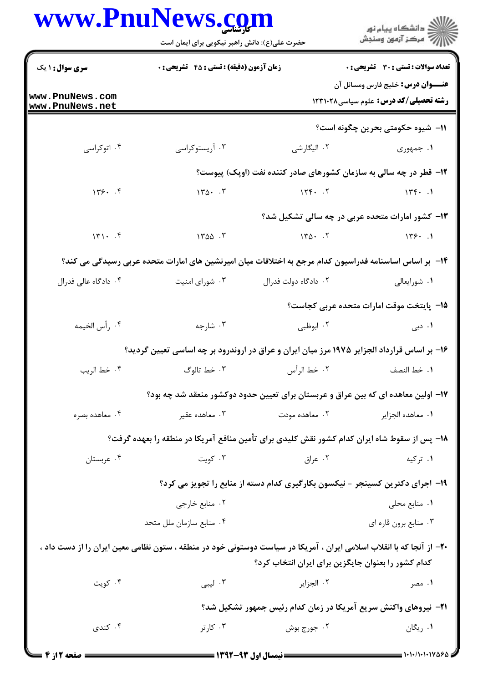|                                    | www.PnuNews.com<br>حضرت علی(ع): دانش راهبر نیکویی برای ایمان است |                      |                                                                                                                                                                            |  |
|------------------------------------|------------------------------------------------------------------|----------------------|----------------------------------------------------------------------------------------------------------------------------------------------------------------------------|--|
| <b>سری سوال : ۱ یک</b>             | زمان آزمون (دقیقه) : تستی : 45 آتشریحی : 0                       |                      | <b>تعداد سوالات : تستی : 30 ٪ تشریحی : 0</b>                                                                                                                               |  |
| www.PnuNews.com<br>www.PnuNews.net |                                                                  |                      | <b>عنـــوان درس:</b> خلیج فارس ومسائل آن<br>رشته تحصیلی/کد درس: علوم سیاسی۱۲۳۱۰۲۸                                                                                          |  |
|                                    |                                                                  |                      | 11– شیوه حکومتی بحرین چگونه است؟                                                                                                                                           |  |
| ۰۴ اتوکراسی                        | ۰۳ آریستوکراسی                                                   | ۰۲ الیگارشی          | ۱. جمهوری                                                                                                                                                                  |  |
|                                    |                                                                  |                      | ۱۲- قطر در چه سالی به سازمان کشورهای صادر کننده نفت (اوپک) پیوست؟                                                                                                          |  |
| 149.7                              | $170 \cdot 7$                                                    | 156.7                | 175.1                                                                                                                                                                      |  |
|                                    |                                                                  |                      | ۱۳- کشور امارات متحده عربی در چه سالی تشکیل شد؟                                                                                                                            |  |
| 141.7                              | $1500 - 5$                                                       | $140 - 17$           | 179.1                                                                                                                                                                      |  |
|                                    |                                                                  |                      | ۱۴– بر اساس اساسنامه فدراسیون کدام مرجع به اختلافات میان امیرنشین های امارات متحده عربی رسیدگی می کند؟                                                                     |  |
| ۰۴ دادگاه عالی فدرال               | ۰۳ شورای امنیت                                                   | ۰۲ دادگاه دولت فدرال | ۰۱ شورايعالى                                                                                                                                                               |  |
|                                    |                                                                  |                      | ∆1− پایتخت موقت امارات متحده عربی کجاست؟                                                                                                                                   |  |
| ۴. رأس الخيمه                      | ۰۳ شارجه                                                         | ۰۲ ابوظبی            | ۰۱ د <sub>بی</sub>                                                                                                                                                         |  |
|                                    |                                                                  |                      | ۱۶- بر اساس قرارداد الجزایر ۱۹۷۵ مرز میان ایران و عراق در اروندرود بر چه اساسی تعیین گردید؟                                                                                |  |
| ۰۴ خط الريب                        | ۰۳ خط تالوگ                                                      | ٢. خط الرأس          | ٠١. خط النصف                                                                                                                                                               |  |
|                                    |                                                                  |                      | ۱۷– اولین معاهده ای که بین عراق و عربستان برای تعیین حدود دوکشور منعقد شد چه بود؟                                                                                          |  |
| ۰۴ معاهده بصره                     | ۰۳ معاهده عقير                                                   | ۰۲ معاهده مودت       | ٠١. معاهده الجزاير                                                                                                                                                         |  |
|                                    |                                                                  |                      | ۱۸– پس از سقوط شاه ایران کدام کشور نقش کلیدی برای تأمین منافع آمریکا در منطقه را بعهده گرفت؟                                                                               |  |
| ۰۴ عربستان                         | ۰۳ کويت                                                          |                      | ۰۲ عراق<br>۰۱ ترکیه                                                                                                                                                        |  |
|                                    |                                                                  |                      | ۱۹- اجرای دکترین کسینجر - نیکسون بکارگیری کدام دسته از منابع را تجویز می کرد؟                                                                                              |  |
|                                    | ۰۲ منابع خارجي                                                   |                      | ۰۱ منابع محلی                                                                                                                                                              |  |
|                                    | ۰۴ منابع سازمان ملل متحد                                         |                      | ۰۳ منابع برون قاره ای                                                                                                                                                      |  |
|                                    |                                                                  |                      | +۲- از آنجا که با انقلاب اسلامی ایران ، آمریکا در سیاست دوستونی خود در منطقه ، ستون نظامی معین ایران را از دست داد ،<br>کدام کشور را بعنوان جایگزین برای ایران انتخاب کرد؟ |  |
| ۰۴ کویت                            | ۰۳ لیبی                                                          | ٢. الجزاير           | ۰۱ مصر                                                                                                                                                                     |  |
|                                    |                                                                  |                      | <b>3</b> - نیروهای واکنش سریع آمریکا در زمان کدام رئیس جمهور تشکیل شد؟                                                                                                     |  |
| ۰۴ کندی                            | ۰۳ کارتر                                                         | ۰۲ جورج بوش          | ۰۱ ریگان                                                                                                                                                                   |  |

 $\blacksquare$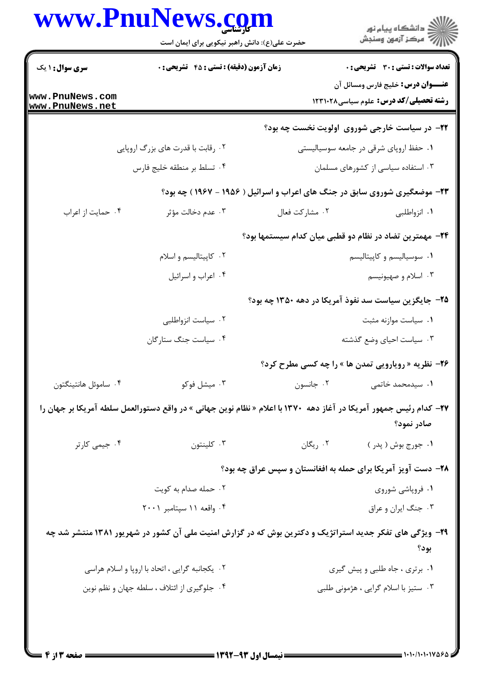|                                                 | حضرت علی(ع): دانش راهبر نیکویی برای ایمان است                                                                              |                                                                            | ڪ دانشڪاه پيام نور<br>//> مرڪز آزمون وسنڊش                                        |  |
|-------------------------------------------------|----------------------------------------------------------------------------------------------------------------------------|----------------------------------------------------------------------------|-----------------------------------------------------------------------------------|--|
| <b>سری سوال : ۱ یک</b>                          | زمان آزمون (دقیقه) : تستی : 45 گتشریحی : 0                                                                                 |                                                                            | <b>تعداد سوالات : تستی : 30 ٪ تشریحی : 0</b>                                      |  |
| www.PnuNews.com<br>www.PnuNews.net              |                                                                                                                            |                                                                            | <b>عنـــوان درس:</b> خلیج فارس ومسائل آن<br>رشته تحصیلی/کد درس: علوم سیاسی۱۲۳۱۰۲۸ |  |
|                                                 |                                                                                                                            |                                                                            | ۲۲- در سیاست خارجی شوروی اولویت نخست چه بود؟                                      |  |
|                                                 | ۰۲ رقابت با قدرت های بزرگ اروپایی                                                                                          |                                                                            | ۰۱ حفظ اروپای شرقی در جامعه سوسیالیستی                                            |  |
|                                                 | ۰۴ تسلط بر منطقه خليج فارس                                                                                                 |                                                                            | ۰۳ استفاده سیاسی از کشورهای مسلمان                                                |  |
|                                                 |                                                                                                                            | ۲۳- موضعگیری شوروی سابق در جنگ های اعراب و اسرائیل ( ۱۹۵۶ - ۱۹۶۷ ) چه بود؟ |                                                                                   |  |
| ۰۴ حمايت از اعراب                               | ۰۳ عدم دخالت مؤثر                                                                                                          | ٠٢ مشاركت فعال                                                             | ۰۱ انزواطلبی                                                                      |  |
|                                                 |                                                                                                                            | ۲۴– مهمترین تضاد در نظام دو قطبی میان کدام سیستمها بود؟                    |                                                                                   |  |
|                                                 | ۰۲ کاپیتالیسم و اسلام                                                                                                      |                                                                            | ۰۱ سوسیالیسم و کاپیتالیسم                                                         |  |
|                                                 | ۰۴ اعراب و اسرائيل                                                                                                         |                                                                            | ۰۳ اسلام و صهیونیسم                                                               |  |
|                                                 |                                                                                                                            | ۲۵– جایگزین سیاست سد نفوذ آمریکا در دهه ۱۳۵۰ چه بود؟                       |                                                                                   |  |
|                                                 | ۰۲ سیاست انزواطلبی                                                                                                         |                                                                            | ٠١ سياست موازنه مثبت                                                              |  |
|                                                 | ۰۴ سیاست جنگ ستارگان                                                                                                       |                                                                            | ۰۳ سیاست احیای وضع گذشته                                                          |  |
|                                                 |                                                                                                                            |                                                                            | <b>۲۶</b> - نظریه « رویارویی تمدن ها » را چه کسی مطرح کرد؟                        |  |
| ۰۴ ساموئل هانتينگتون                            | ۰۳ میشل فوکو                                                                                                               | ۰۲ جانسون                                                                  | ۰۱ سیدمحمد خاتمی                                                                  |  |
|                                                 | <b>۲۷</b> – کدام رئیس جمهور آمریکا در آغاز دهه ۱۳۷۰ با اعلام « نظام نوین جهانی » در واقع دستورالعمل سلطه آمریکا بر جهان را |                                                                            | صادر نمود؟                                                                        |  |
| ۰۴ جیمی کارتر                                   | ۰۳ کلینتون                                                                                                                 | ۰۲ ریگان                                                                   | ۰۱ جورج بوش ( پدر )                                                               |  |
|                                                 | ۲۸- دست آویز آمریکا برای حمله به افغانستان و سپس عراق چه بود؟                                                              |                                                                            |                                                                                   |  |
|                                                 | ۰۲ حمله صدام به کویت                                                                                                       |                                                                            | ۰۱ فروپاشی شوروی                                                                  |  |
|                                                 | ۰۴ واقعه ۱۱ سپتامبر ۲۰۰۱                                                                                                   |                                                                            | ۰۳ جنگ ایران و عراق                                                               |  |
|                                                 | ۲۹- ویژگی های تفکر جدید استراتژیک و دکترین بوش که در گزارش امنیت ملی آن کشور در شهریور ۱۳۸۱ منتشر شد چه                    |                                                                            | بود؟                                                                              |  |
| ۰۲ یکجانبه گرایی ، اتحاد با اروپا و اسلام هراسی |                                                                                                                            |                                                                            | ٠١ برترى ، جاه طلبى و پيش گيرى                                                    |  |
| ۰۴ جلوگیری از ائتلاف ، سلطه جهان و نظم نوین     |                                                                                                                            |                                                                            | ۰۳ ستیز با اسلام گرایی ، هژمونی طلبی                                              |  |